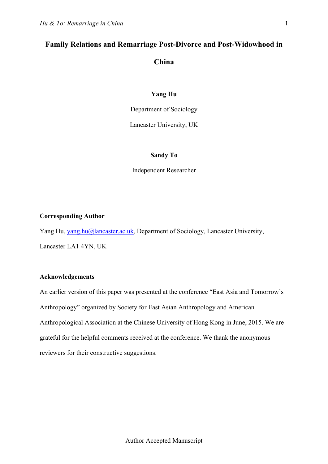# **Family Relations and Remarriage Post-Divorce and Post-Widowhood in China**

# **Yang Hu**

Department of Sociology

Lancaster University, UK

# **Sandy To**

Independent Researcher

# **Corresponding Author**

Yang Hu, yang.hu@lancaster.ac.uk, Department of Sociology, Lancaster University, Lancaster LA1 4YN, UK

## **Acknowledgements**

An earlier version of this paper was presented at the conference "East Asia and Tomorrow's Anthropology" organized by Society for East Asian Anthropology and American Anthropological Association at the Chinese University of Hong Kong in June, 2015. We are grateful for the helpful comments received at the conference. We thank the anonymous reviewers for their constructive suggestions.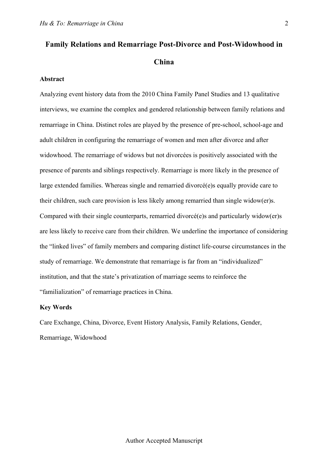# **Family Relations and Remarriage Post-Divorce and Post-Widowhood in China**

### **Abstract**

Analyzing event history data from the 2010 China Family Panel Studies and 13 qualitative interviews, we examine the complex and gendered relationship between family relations and remarriage in China. Distinct roles are played by the presence of pre-school, school-age and adult children in configuring the remarriage of women and men after divorce and after widowhood. The remarriage of widows but not divorcées is positively associated with the presence of parents and siblings respectively. Remarriage is more likely in the presence of large extended families. Whereas single and remarried divorcé(e)s equally provide care to their children, such care provision is less likely among remarried than single widow(er)s. Compared with their single counterparts, remarried divorcé(e)s and particularly widow(er)s are less likely to receive care from their children. We underline the importance of considering the "linked lives" of family members and comparing distinct life-course circumstances in the study of remarriage. We demonstrate that remarriage is far from an "individualized" institution, and that the state's privatization of marriage seems to reinforce the "familialization" of remarriage practices in China.

#### **Key Words**

Care Exchange, China, Divorce, Event History Analysis, Family Relations, Gender, Remarriage, Widowhood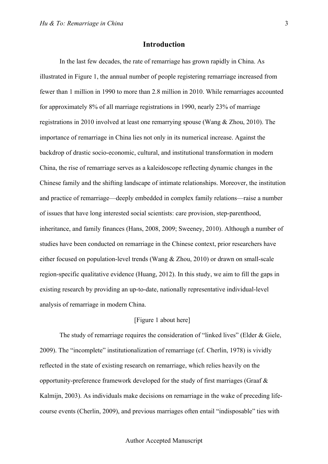# **Introduction**

In the last few decades, the rate of remarriage has grown rapidly in China. As illustrated in Figure 1, the annual number of people registering remarriage increased from fewer than 1 million in 1990 to more than 2.8 million in 2010. While remarriages accounted for approximately 8% of all marriage registrations in 1990, nearly 23% of marriage registrations in 2010 involved at least one remarrying spouse (Wang & Zhou, 2010). The importance of remarriage in China lies not only in its numerical increase. Against the backdrop of drastic socio-economic, cultural, and institutional transformation in modern China, the rise of remarriage serves as a kaleidoscope reflecting dynamic changes in the Chinese family and the shifting landscape of intimate relationships. Moreover, the institution and practice of remarriage—deeply embedded in complex family relations—raise a number of issues that have long interested social scientists: care provision, step-parenthood, inheritance, and family finances (Hans, 2008, 2009; Sweeney, 2010). Although a number of studies have been conducted on remarriage in the Chinese context, prior researchers have either focused on population-level trends (Wang & Zhou, 2010) or drawn on small-scale region-specific qualitative evidence (Huang, 2012). In this study, we aim to fill the gaps in existing research by providing an up-to-date, nationally representative individual-level analysis of remarriage in modern China.

# [Figure 1 about here]

The study of remarriage requires the consideration of "linked lives" (Elder & Giele, 2009). The "incomplete" institutionalization of remarriage (cf. Cherlin, 1978) is vividly reflected in the state of existing research on remarriage, which relies heavily on the opportunity-preference framework developed for the study of first marriages (Graaf & Kalmijn, 2003). As individuals make decisions on remarriage in the wake of preceding lifecourse events (Cherlin, 2009), and previous marriages often entail "indisposable" ties with

3

#### Author Accepted Manuscript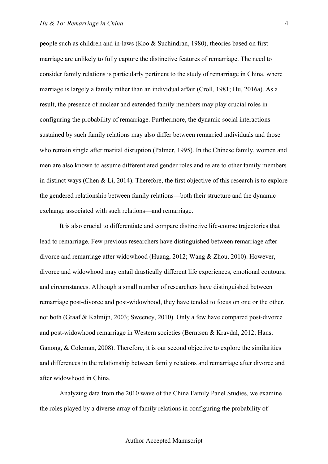people such as children and in-laws (Koo & Suchindran, 1980), theories based on first marriage are unlikely to fully capture the distinctive features of remarriage. The need to consider family relations is particularly pertinent to the study of remarriage in China, where marriage is largely a family rather than an individual affair (Croll, 1981; Hu, 2016a). As a result, the presence of nuclear and extended family members may play crucial roles in configuring the probability of remarriage. Furthermore, the dynamic social interactions sustained by such family relations may also differ between remarried individuals and those who remain single after marital disruption (Palmer, 1995). In the Chinese family, women and men are also known to assume differentiated gender roles and relate to other family members in distinct ways (Chen & Li, 2014). Therefore, the first objective of this research is to explore the gendered relationship between family relations—both their structure and the dynamic exchange associated with such relations—and remarriage.

It is also crucial to differentiate and compare distinctive life-course trajectories that lead to remarriage. Few previous researchers have distinguished between remarriage after divorce and remarriage after widowhood (Huang, 2012; Wang & Zhou, 2010). However, divorce and widowhood may entail drastically different life experiences, emotional contours, and circumstances. Although a small number of researchers have distinguished between remarriage post-divorce and post-widowhood, they have tended to focus on one or the other, not both (Graaf & Kalmijn, 2003; Sweeney, 2010). Only a few have compared post-divorce and post-widowhood remarriage in Western societies (Berntsen & Kravdal, 2012; Hans, Ganong, & Coleman, 2008). Therefore, it is our second objective to explore the similarities and differences in the relationship between family relations and remarriage after divorce and after widowhood in China.

Analyzing data from the 2010 wave of the China Family Panel Studies, we examine the roles played by a diverse array of family relations in configuring the probability of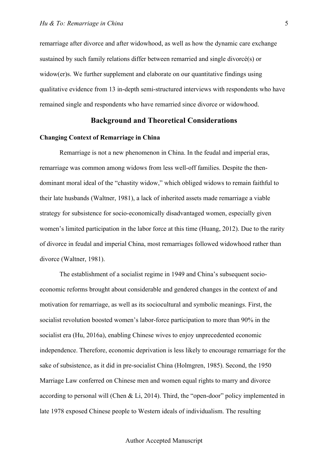remarriage after divorce and after widowhood, as well as how the dynamic care exchange sustained by such family relations differ between remarried and single divorcé(s) or widow(er)s. We further supplement and elaborate on our quantitative findings using qualitative evidence from 13 in-depth semi-structured interviews with respondents who have remained single and respondents who have remarried since divorce or widowhood.

# **Background and Theoretical Considerations**

#### **Changing Context of Remarriage in China**

Remarriage is not a new phenomenon in China. In the feudal and imperial eras, remarriage was common among widows from less well-off families. Despite the thendominant moral ideal of the "chastity widow," which obliged widows to remain faithful to their late husbands (Waltner, 1981), a lack of inherited assets made remarriage a viable strategy for subsistence for socio-economically disadvantaged women, especially given women's limited participation in the labor force at this time (Huang, 2012). Due to the rarity of divorce in feudal and imperial China, most remarriages followed widowhood rather than divorce (Waltner, 1981).

The establishment of a socialist regime in 1949 and China's subsequent socioeconomic reforms brought about considerable and gendered changes in the context of and motivation for remarriage, as well as its sociocultural and symbolic meanings. First, the socialist revolution boosted women's labor-force participation to more than 90% in the socialist era (Hu, 2016a), enabling Chinese wives to enjoy unprecedented economic independence. Therefore, economic deprivation is less likely to encourage remarriage for the sake of subsistence, as it did in pre-socialist China (Holmgren, 1985). Second, the 1950 Marriage Law conferred on Chinese men and women equal rights to marry and divorce according to personal will (Chen  $& Li$ , 2014). Third, the "open-door" policy implemented in late 1978 exposed Chinese people to Western ideals of individualism. The resulting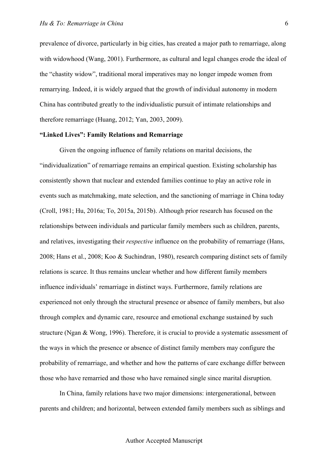prevalence of divorce, particularly in big cities, has created a major path to remarriage, along with widowhood (Wang, 2001). Furthermore, as cultural and legal changes erode the ideal of the "chastity widow", traditional moral imperatives may no longer impede women from remarrying. Indeed, it is widely argued that the growth of individual autonomy in modern China has contributed greatly to the individualistic pursuit of intimate relationships and therefore remarriage (Huang, 2012; Yan, 2003, 2009).

## **"Linked Lives": Family Relations and Remarriage**

Given the ongoing influence of family relations on marital decisions, the "individualization" of remarriage remains an empirical question. Existing scholarship has consistently shown that nuclear and extended families continue to play an active role in events such as matchmaking, mate selection, and the sanctioning of marriage in China today (Croll, 1981; Hu, 2016a; To, 2015a, 2015b). Although prior research has focused on the relationships between individuals and particular family members such as children, parents, and relatives, investigating their *respective* influence on the probability of remarriage (Hans, 2008; Hans et al., 2008; Koo & Suchindran, 1980), research comparing distinct sets of family relations is scarce. It thus remains unclear whether and how different family members influence individuals' remarriage in distinct ways. Furthermore, family relations are experienced not only through the structural presence or absence of family members, but also through complex and dynamic care, resource and emotional exchange sustained by such structure (Ngan & Wong, 1996). Therefore, it is crucial to provide a systematic assessment of the ways in which the presence or absence of distinct family members may configure the probability of remarriage, and whether and how the patterns of care exchange differ between those who have remarried and those who have remained single since marital disruption.

In China, family relations have two major dimensions: intergenerational, between parents and children; and horizontal, between extended family members such as siblings and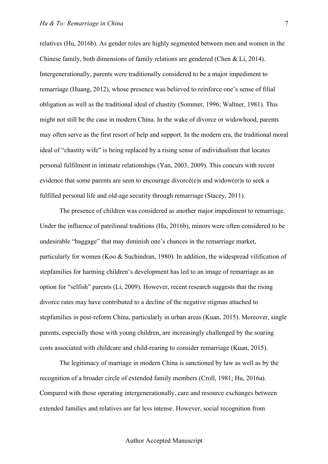relatives (Hu, 2016b). As gender roles are highly segmented between men and women in the Chinese family, both dimensions of family relations are gendered (Chen & Li, 2014). Intergenerationally, parents were traditionally considered to be a major impediment to remarriage (Huang, 2012), whose presence was believed to reinforce one's sense of filial obligation as well as the traditional ideal of chastity (Sommer, 1996; Waltner, 1981). This might not still be the case in modern China. In the wake of divorce or widowhood, parents may often serve as the first resort of help and support. In the modern era, the traditional moral ideal of "chastity wife" is being replaced by a rising sense of individualism that locates personal fulfilment in intimate relationships (Yan, 2003, 2009). This concurs with recent evidence that some parents are seen to encourage divorcé(e)s and widow(er)s to seek a fulfilled personal life and old-age security through remarriage (Stacey, 2011).

The presence of children was considered as another major impediment to remarriage. Under the influence of patrilineal traditions (Hu, 2016b), minors were often considered to be undesirable "baggage" that may diminish one's chances in the remarriage market, particularly for women (Koo & Suchindran, 1980). In addition, the widespread vilification of stepfamilies for harming children's development has led to an image of remarriage as an option for "selfish" parents (Li, 2009). However, recent research suggests that the rising divorce rates may have contributed to a decline of the negative stigmas attached to stepfamilies in post-reform China, particularly in urban areas (Kuan, 2015). Moreover, single parents, especially those with young children, are increasingly challenged by the soaring costs associated with childcare and child-rearing to consider remarriage (Kuan, 2015).

The legitimacy of marriage in modern China is sanctioned by law as well as by the recognition of a broader circle of extended family members (Croll, 1981; Hu, 2016a). Compared with those operating intergenerationally, care and resource exchanges between extended families and relatives are far less intense. However, social recognition from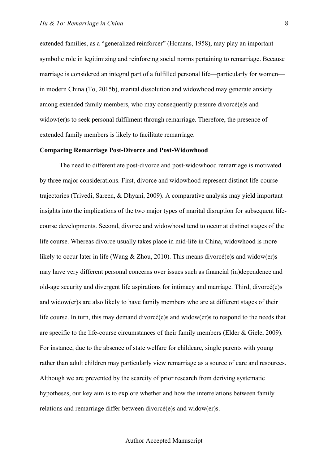extended families, as a "generalized reinforcer" (Homans, 1958), may play an important symbolic role in legitimizing and reinforcing social norms pertaining to remarriage. Because marriage is considered an integral part of a fulfilled personal life—particularly for women in modern China (To, 2015b), marital dissolution and widowhood may generate anxiety among extended family members, who may consequently pressure divorcé(e)s and widow(er)s to seek personal fulfilment through remarriage. Therefore, the presence of extended family members is likely to facilitate remarriage.

#### **Comparing Remarriage Post-Divorce and Post-Widowhood**

The need to differentiate post-divorce and post-widowhood remarriage is motivated by three major considerations. First, divorce and widowhood represent distinct life-course trajectories (Trivedi, Sareen, & Dhyani, 2009). A comparative analysis may yield important insights into the implications of the two major types of marital disruption for subsequent lifecourse developments. Second, divorce and widowhood tend to occur at distinct stages of the life course. Whereas divorce usually takes place in mid-life in China, widowhood is more likely to occur later in life (Wang & Zhou, 2010). This means divorcé(e)s and widow(er)s may have very different personal concerns over issues such as financial (in)dependence and old-age security and divergent life aspirations for intimacy and marriage. Third, divorcé(e)s and widow(er)s are also likely to have family members who are at different stages of their life course. In turn, this may demand divorcé(e)s and widow(er)s to respond to the needs that are specific to the life-course circumstances of their family members (Elder & Giele, 2009). For instance, due to the absence of state welfare for childcare, single parents with young rather than adult children may particularly view remarriage as a source of care and resources. Although we are prevented by the scarcity of prior research from deriving systematic hypotheses, our key aim is to explore whether and how the interrelations between family relations and remarriage differ between divorcé(e)s and widow(er)s.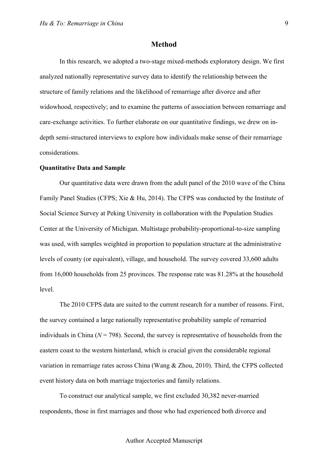## **Method**

In this research, we adopted a two-stage mixed-methods exploratory design. We first analyzed nationally representative survey data to identify the relationship between the structure of family relations and the likelihood of remarriage after divorce and after widowhood, respectively; and to examine the patterns of association between remarriage and care-exchange activities. To further elaborate on our quantitative findings, we drew on indepth semi-structured interviews to explore how individuals make sense of their remarriage considerations.

### **Quantitative Data and Sample**

Our quantitative data were drawn from the adult panel of the 2010 wave of the China Family Panel Studies (CFPS; Xie & Hu, 2014). The CFPS was conducted by the Institute of Social Science Survey at Peking University in collaboration with the Population Studies Center at the University of Michigan. Multistage probability-proportional-to-size sampling was used, with samples weighted in proportion to population structure at the administrative levels of county (or equivalent), village, and household. The survey covered 33,600 adults from 16,000 households from 25 provinces. The response rate was 81.28% at the household level.

The 2010 CFPS data are suited to the current research for a number of reasons. First, the survey contained a large nationally representative probability sample of remarried individuals in China  $(N = 798)$ . Second, the survey is representative of households from the eastern coast to the western hinterland, which is crucial given the considerable regional variation in remarriage rates across China (Wang & Zhou, 2010). Third, the CFPS collected event history data on both marriage trajectories and family relations.

To construct our analytical sample, we first excluded 30,382 never-married respondents, those in first marriages and those who had experienced both divorce and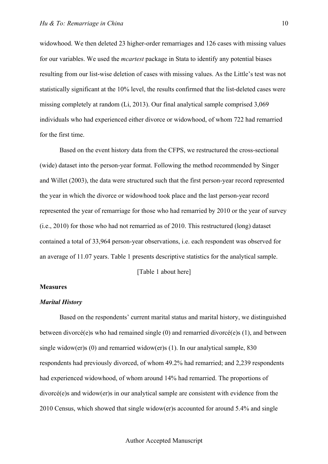widowhood. We then deleted 23 higher-order remarriages and 126 cases with missing values for our variables. We used the *mcartest* package in Stata to identify any potential biases resulting from our list-wise deletion of cases with missing values. As the Little's test was not statistically significant at the 10% level, the results confirmed that the list-deleted cases were missing completely at random (Li, 2013). Our final analytical sample comprised 3,069 individuals who had experienced either divorce or widowhood, of whom 722 had remarried for the first time.

Based on the event history data from the CFPS, we restructured the cross-sectional (wide) dataset into the person-year format. Following the method recommended by Singer and Willet (2003), the data were structured such that the first person-year record represented the year in which the divorce or widowhood took place and the last person-year record represented the year of remarriage for those who had remarried by 2010 or the year of survey (i.e., 2010) for those who had not remarried as of 2010. This restructured (long) dataset contained a total of 33,964 person-year observations, i.e. each respondent was observed for an average of 11.07 years. Table 1 presents descriptive statistics for the analytical sample.

[Table 1 about here]

# **Measures**

#### *Marital History*

Based on the respondents' current marital status and marital history, we distinguished between divorcé(e)s who had remained single (0) and remarried divorcé(e)s (1), and between single widow(er)s  $(0)$  and remarried widow(er)s  $(1)$ . In our analytical sample, 830 respondents had previously divorced, of whom 49.2% had remarried; and 2,239 respondents had experienced widowhood, of whom around 14% had remarried. The proportions of divorcé(e)s and widow(er)s in our analytical sample are consistent with evidence from the 2010 Census, which showed that single widow(er)s accounted for around 5.4% and single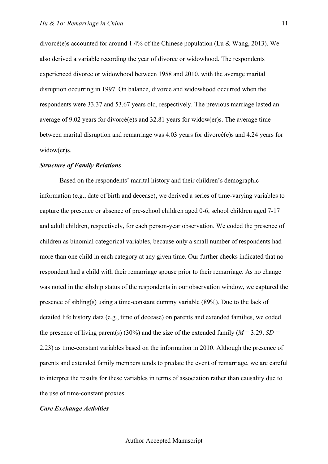divorcé(e)s accounted for around 1.4% of the Chinese population (Lu & Wang, 2013). We also derived a variable recording the year of divorce or widowhood. The respondents experienced divorce or widowhood between 1958 and 2010, with the average marital disruption occurring in 1997. On balance, divorce and widowhood occurred when the respondents were 33.37 and 53.67 years old, respectively. The previous marriage lasted an average of 9.02 years for divorcé(e)s and 32.81 years for widow(er)s. The average time between marital disruption and remarriage was 4.03 years for divorcé(e)s and 4.24 years for widow(er)s.

## *Structure of Family Relations*

Based on the respondents' marital history and their children's demographic information (e.g., date of birth and decease), we derived a series of time-varying variables to capture the presence or absence of pre-school children aged 0-6, school children aged 7-17 and adult children, respectively, for each person-year observation. We coded the presence of children as binomial categorical variables, because only a small number of respondents had more than one child in each category at any given time. Our further checks indicated that no respondent had a child with their remarriage spouse prior to their remarriage. As no change was noted in the sibship status of the respondents in our observation window, we captured the presence of sibling(s) using a time-constant dummy variable (89%). Due to the lack of detailed life history data (e.g., time of decease) on parents and extended families, we coded the presence of living parent(s) (30%) and the size of the extended family ( $M = 3.29$ ,  $SD =$ 2.23) as time-constant variables based on the information in 2010. Although the presence of parents and extended family members tends to predate the event of remarriage, we are careful to interpret the results for these variables in terms of association rather than causality due to the use of time-constant proxies.

### *Care Exchange Activities*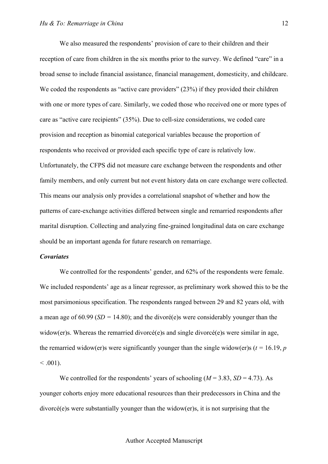We also measured the respondents' provision of care to their children and their reception of care from children in the six months prior to the survey. We defined "care" in a broad sense to include financial assistance, financial management, domesticity, and childcare. We coded the respondents as "active care providers" (23%) if they provided their children with one or more types of care. Similarly, we coded those who received one or more types of care as "active care recipients" (35%). Due to cell-size considerations, we coded care provision and reception as binomial categorical variables because the proportion of respondents who received or provided each specific type of care is relatively low. Unfortunately, the CFPS did not measure care exchange between the respondents and other family members, and only current but not event history data on care exchange were collected. This means our analysis only provides a correlational snapshot of whether and how the patterns of care-exchange activities differed between single and remarried respondents after marital disruption. Collecting and analyzing fine-grained longitudinal data on care exchange should be an important agenda for future research on remarriage.

## *Covariates*

We controlled for the respondents' gender, and 62% of the respondents were female. We included respondents' age as a linear regressor, as preliminary work showed this to be the most parsimonious specification. The respondents ranged between 29 and 82 years old, with a mean age of 60.99 (*SD =* 14.80); and the divoré(e)s were considerably younger than the widow(er)s. Whereas the remarried divorcé(e)s and single divorcé(e)s were similar in age, the remarried widow(er)s were significantly younger than the single widow(er)s ( $t = 16.19$ ,  $p$  $< 0.001$ ).

We controlled for the respondents' years of schooling  $(M = 3.83, SD = 4.73)$ . As younger cohorts enjoy more educational resources than their predecessors in China and the divorcé(e)s were substantially younger than the widow(er)s, it is not surprising that the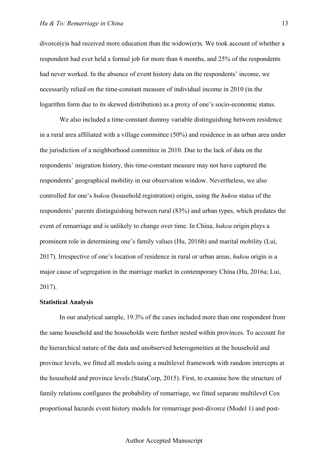divorcé(e)s had received more education than the widow(er)s. We took account of whether a respondent had ever held a formal job for more than 6 months, and 25% of the respondents had never worked. In the absence of event history data on the respondents' income, we necessarily relied on the time-constant measure of individual income in 2010 (in the logarithm form due to its skewed distribution) as a proxy of one's socio-economic status.

We also included a time-constant dummy variable distinguishing between residence in a rural area affiliated with a village committee (50%) and residence in an urban area under the jurisdiction of a neighborhood committee in 2010. Due to the lack of data on the respondents' migration history, this time-constant measure may not have captured the respondents' geographical mobility in our observation window. Nevertheless, we also controlled for one's *hukou* (household registration) origin, using the *hukou* status of the respondents' parents distinguishing between rural (83%) and urban types, which predates the event of remarriage and is unlikely to change over time. In China, *hukou* origin plays a prominent role in determining one's family values (Hu, 2016b) and marital mobility (Lui, 2017). Irrespective of one's location of residence in rural or urban areas, *hukou* origin is a major cause of segregation in the marriage market in contemporary China (Hu, 2016a; Lui, 2017).

## **Statistical Analysis**

In our analytical sample, 19.3% of the cases included more than one respondent from the same household and the households were further nested within provinces. To account for the hierarchical nature of the data and unobserved heterogeneities at the household and province levels, we fitted all models using a multilevel framework with random intercepts at the household and province levels (StataCorp, 2015). First, to examine how the structure of family relations configures the probability of remarriage, we fitted separate multilevel Cox proportional hazards event history models for remarriage post-divorce (Model 1) and post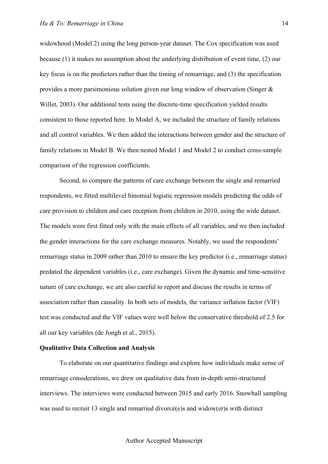widowhood (Model 2) using the long person-year dataset. The Cox specification was used because (1) it makes no assumption about the underlying distribution of event time, (2) our key focus is on the predictors rather than the timing of remarriage, and (3) the specification provides a more parsimonious solution given our long window of observation (Singer & Willet, 2003). Our additional tests using the discrete-time specification yielded results consistent to those reported here. In Model A, we included the structure of family relations and all control variables. We then added the interactions between gender and the structure of family relations in Model B. We then nested Model 1 and Model 2 to conduct cross-sample comparison of the regression coefficients.

Second, to compare the patterns of care exchange between the single and remarried respondents, we fitted multilevel binomial logistic regression models predicting the odds of care provision to children and care reception from children in 2010, using the wide dataset. The models were first fitted only with the main effects of all variables, and we then included the gender interactions for the care exchange measures. Notably, we used the respondents' remarriage status in 2009 rather than 2010 to ensure the key predictor (i.e., remarriage status) predated the dependent variables (i.e., care exchange). Given the dynamic and time-sensitive nature of care exchange, we are also careful to report and discuss the results in terms of association rather than causality. In both sets of models, the variance inflation factor (VIF) test was conducted and the VIF values were well below the conservative threshold of 2.5 for all our key variables (de Jongh et al., 2015).

# **Qualitative Data Collection and Analysis**

To elaborate on our quantitative findings and explore how individuals make sense of remarriage considerations, we drew on qualitative data from in-depth semi-structured interviews. The interviews were conducted between 2015 and early 2016. Snowball sampling was used to recruit 13 single and remarried divorcé(e)s and widow(er)s with distinct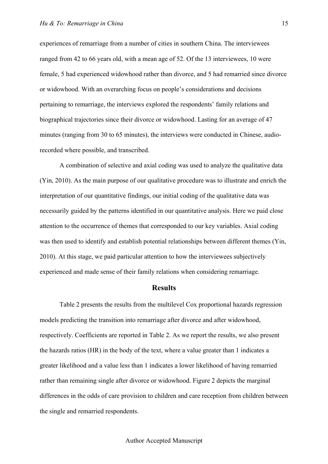experiences of remarriage from a number of cities in southern China. The interviewees ranged from 42 to 66 years old, with a mean age of 52. Of the 13 interviewees, 10 were female, 5 had experienced widowhood rather than divorce, and 5 had remarried since divorce or widowhood. With an overarching focus on people's considerations and decisions pertaining to remarriage, the interviews explored the respondents' family relations and biographical trajectories since their divorce or widowhood. Lasting for an average of 47 minutes (ranging from 30 to 65 minutes), the interviews were conducted in Chinese, audiorecorded where possible, and transcribed.

A combination of selective and axial coding was used to analyze the qualitative data (Yin, 2010). As the main purpose of our qualitative procedure was to illustrate and enrich the interpretation of our quantitative findings, our initial coding of the qualitative data was necessarily guided by the patterns identified in our quantitative analysis. Here we paid close attention to the occurrence of themes that corresponded to our key variables. Axial coding was then used to identify and establish potential relationships between different themes (Yin, 2010). At this stage, we paid particular attention to how the interviewees subjectively experienced and made sense of their family relations when considering remarriage.

# **Results**

Table 2 presents the results from the multilevel Cox proportional hazards regression models predicting the transition into remarriage after divorce and after widowhood, respectively. Coefficients are reported in Table 2. As we report the results, we also present the hazards ratios (HR) in the body of the text, where a value greater than 1 indicates a greater likelihood and a value less than 1 indicates a lower likelihood of having remarried rather than remaining single after divorce or widowhood. Figure 2 depicts the marginal differences in the odds of care provision to children and care reception from children between the single and remarried respondents.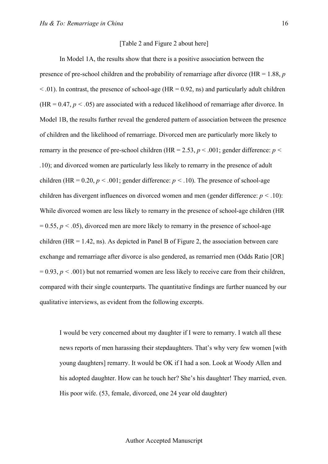#### [Table 2 and Figure 2 about here]

In Model 1A, the results show that there is a positive association between the presence of pre-school children and the probability of remarriage after divorce (HR = 1.88, *p*   $\leq$  0.01). In contrast, the presence of school-age (HR = 0.92, ns) and particularly adult children  $(HR = 0.47, p < .05)$  are associated with a reduced likelihood of remarriage after divorce. In Model 1B, the results further reveal the gendered pattern of association between the presence of children and the likelihood of remarriage. Divorced men are particularly more likely to remarry in the presence of pre-school children (HR = 2.53,  $p < .001$ ; gender difference:  $p <$ *.*10); and divorced women are particularly less likely to remarry in the presence of adult children (HR =  $0.20, p < .001$ ; gender difference:  $p < .10$ ). The presence of school-age children has divergent influences on divorced women and men (gender difference: *p < .*10): While divorced women are less likely to remarry in the presence of school-age children (HR  $= 0.55$ ,  $p < .05$ ), divorced men are more likely to remarry in the presence of school-age children (HR = 1.42, ns). As depicted in Panel B of Figure 2, the association between care exchange and remarriage after divorce is also gendered, as remarried men (Odds Ratio [OR]  $= 0.93$ ,  $p < .001$ ) but not remarried women are less likely to receive care from their children, compared with their single counterparts. The quantitative findings are further nuanced by our qualitative interviews, as evident from the following excerpts.

I would be very concerned about my daughter if I were to remarry. I watch all these news reports of men harassing their stepdaughters. That's why very few women [with young daughters] remarry. It would be OK if I had a son. Look at Woody Allen and his adopted daughter. How can he touch her? She's his daughter! They married, even. His poor wife. (53, female, divorced, one 24 year old daughter)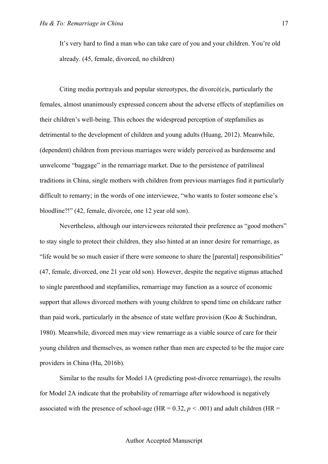It's very hard to find a man who can take care of you and your children. You're old already. (45, female, divorced, no children)

Citing media portrayals and popular stereotypes, the divorcé(e)s, particularly the females, almost unanimously expressed concern about the adverse effects of stepfamilies on their children's well-being. This echoes the widespread perception of stepfamilies as detrimental to the development of children and young adults (Huang, 2012). Meanwhile, (dependent) children from previous marriages were widely perceived as burdensome and unwelcome "baggage" in the remarriage market. Due to the persistence of patrilineal traditions in China, single mothers with children from previous marriages find it particularly difficult to remarry; in the words of one interviewee, "who wants to foster someone else's bloodline?!" (42, female, divorcée, one 12 year old son).

Nevertheless, although our interviewees reiterated their preference as "good mothers" to stay single to protect their children, they also hinted at an inner desire for remarriage, as "life would be so much easier if there were someone to share the [parental] responsibilities" (47, female, divorced, one 21 year old son). However, despite the negative stigmas attached to single parenthood and stepfamilies, remarriage may function as a source of economic support that allows divorced mothers with young children to spend time on childcare rather than paid work, particularly in the absence of state welfare provision (Koo & Suchindran, 1980). Meanwhile, divorced men may view remarriage as a viable source of care for their young children and themselves, as women rather than men are expected to be the major care providers in China (Hu, 2016b).

Similar to the results for Model 1A (predicting post-divorce remarriage), the results for Model 2A indicate that the probability of remarriage after widowhood is negatively associated with the presence of school-age (HR =  $0.32$ ,  $p < .001$ ) and adult children (HR =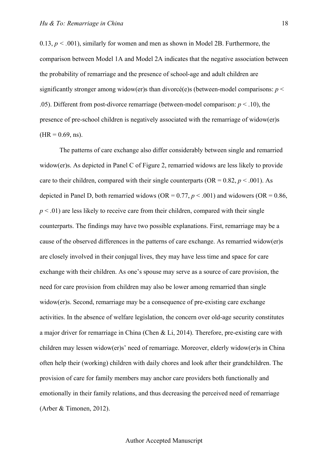0.13, *p < .*001), similarly for women and men as shown in Model 2B. Furthermore, the comparison between Model 1A and Model 2A indicates that the negative association between the probability of remarriage and the presence of school-age and adult children are significantly stronger among widow(er)s than divorcé(e)s (between-model comparisons: *p* < .05). Different from post-divorce remarriage (between-model comparison:  $p < .10$ ), the presence of pre-school children is negatively associated with the remarriage of widow(er)s  $(HR = 0.69, ns).$ 

The patterns of care exchange also differ considerably between single and remarried widow(er)s. As depicted in Panel C of Figure 2, remarried widows are less likely to provide care to their children, compared with their single counterparts (OR =  $0.82, p < .001$ ). As depicted in Panel D, both remarried widows ( $OR = 0.77$ ,  $p < .001$ ) and widowers ( $OR = 0.86$ ,  $p < .01$ ) are less likely to receive care from their children, compared with their single counterparts. The findings may have two possible explanations. First, remarriage may be a cause of the observed differences in the patterns of care exchange. As remarried widow(er)s are closely involved in their conjugal lives, they may have less time and space for care exchange with their children. As one's spouse may serve as a source of care provision, the need for care provision from children may also be lower among remarried than single widow(er)s. Second, remarriage may be a consequence of pre-existing care exchange activities. In the absence of welfare legislation, the concern over old-age security constitutes a major driver for remarriage in China (Chen & Li, 2014). Therefore, pre-existing care with children may lessen widow(er)s' need of remarriage. Moreover, elderly widow(er)s in China often help their (working) children with daily chores and look after their grandchildren. The provision of care for family members may anchor care providers both functionally and emotionally in their family relations, and thus decreasing the perceived need of remarriage (Arber & Timonen, 2012).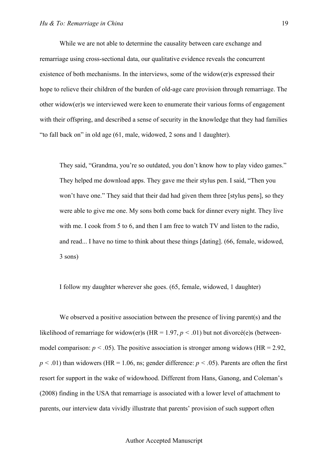While we are not able to determine the causality between care exchange and remarriage using cross-sectional data, our qualitative evidence reveals the concurrent existence of both mechanisms. In the interviews, some of the widow(er)s expressed their hope to relieve their children of the burden of old-age care provision through remarriage. The other widow(er)s we interviewed were keen to enumerate their various forms of engagement with their offspring, and described a sense of security in the knowledge that they had families "to fall back on" in old age (61, male, widowed, 2 sons and 1 daughter).

They said, "Grandma, you're so outdated, you don't know how to play video games." They helped me download apps. They gave me their stylus pen. I said, "Then you won't have one." They said that their dad had given them three [stylus pens], so they were able to give me one. My sons both come back for dinner every night. They live with me. I cook from 5 to 6, and then I am free to watch TV and listen to the radio, and read... I have no time to think about these things [dating]. (66, female, widowed, 3 sons)

I follow my daughter wherever she goes. (65, female, widowed, 1 daughter)

We observed a positive association between the presence of living parent(s) and the likelihood of remarriage for widow(er)s (HR =  $1.97, p \le 0.01$ ) but not divorcé(e)s (betweenmodel comparison:  $p < .05$ ). The positive association is stronger among widows (HR = 2.92,  $p < .01$ ) than widowers (HR = 1.06, ns; gender difference:  $p < .05$ ). Parents are often the first resort for support in the wake of widowhood. Different from Hans, Ganong, and Coleman's (2008) finding in the USA that remarriage is associated with a lower level of attachment to parents, our interview data vividly illustrate that parents' provision of such support often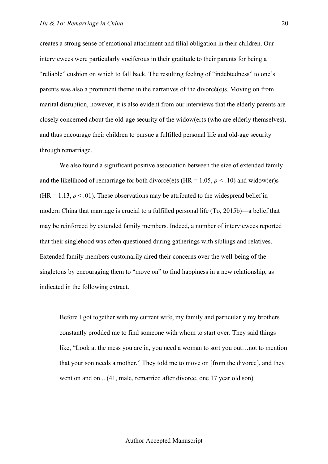creates a strong sense of emotional attachment and filial obligation in their children. Our interviewees were particularly vociferous in their gratitude to their parents for being a "reliable" cushion on which to fall back. The resulting feeling of "indebtedness" to one's parents was also a prominent theme in the narratives of the divorcé(e)s. Moving on from marital disruption, however, it is also evident from our interviews that the elderly parents are closely concerned about the old-age security of the widow(er)s (who are elderly themselves), and thus encourage their children to pursue a fulfilled personal life and old-age security through remarriage.

We also found a significant positive association between the size of extended family and the likelihood of remarriage for both divorcé(e)s (HR =  $1.05, p < .10$ ) and widow(er)s (HR = 1.13,  $p < .01$ ). These observations may be attributed to the widespread belief in modern China that marriage is crucial to a fulfilled personal life (To, 2015b)—a belief that may be reinforced by extended family members. Indeed, a number of interviewees reported that their singlehood was often questioned during gatherings with siblings and relatives. Extended family members customarily aired their concerns over the well-being of the singletons by encouraging them to "move on" to find happiness in a new relationship, as indicated in the following extract.

Before I got together with my current wife, my family and particularly my brothers constantly prodded me to find someone with whom to start over. They said things like, "Look at the mess you are in, you need a woman to sort you out…not to mention that your son needs a mother." They told me to move on [from the divorce], and they went on and on... (41, male, remarried after divorce, one 17 year old son)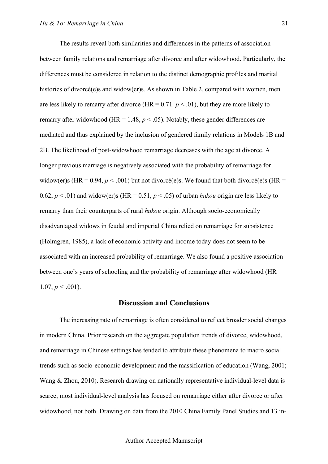The results reveal both similarities and differences in the patterns of association between family relations and remarriage after divorce and after widowhood. Particularly, the differences must be considered in relation to the distinct demographic profiles and marital histories of divorcé(e)s and widow(er)s. As shown in Table 2, compared with women, men are less likely to remarry after divorce (HR =  $0.71$ ,  $p < .01$ ), but they are more likely to remarry after widowhood (HR = 1.48,  $p < .05$ ). Notably, these gender differences are mediated and thus explained by the inclusion of gendered family relations in Models 1B and 2B. The likelihood of post-widowhood remarriage decreases with the age at divorce. A longer previous marriage is negatively associated with the probability of remarriage for widow(er)s (HR = 0.94,  $p < .001$ ) but not divorcé(e)s. We found that both divorcé(e)s (HR = 0.62,  $p < .01$ ) and widow(er)s (HR = 0.51,  $p < .05$ ) of urban *hukou* origin are less likely to remarry than their counterparts of rural *hukou* origin. Although socio-economically disadvantaged widows in feudal and imperial China relied on remarriage for subsistence (Holmgren, 1985), a lack of economic activity and income today does not seem to be associated with an increased probability of remarriage. We also found a positive association between one's years of schooling and the probability of remarriage after widowhood (HR =  $1.07, p \leq .001$ ).

#### **Discussion and Conclusions**

The increasing rate of remarriage is often considered to reflect broader social changes in modern China. Prior research on the aggregate population trends of divorce, widowhood, and remarriage in Chinese settings has tended to attribute these phenomena to macro social trends such as socio-economic development and the massification of education (Wang, 2001; Wang & Zhou, 2010). Research drawing on nationally representative individual-level data is scarce; most individual-level analysis has focused on remarriage either after divorce or after widowhood, not both. Drawing on data from the 2010 China Family Panel Studies and 13 in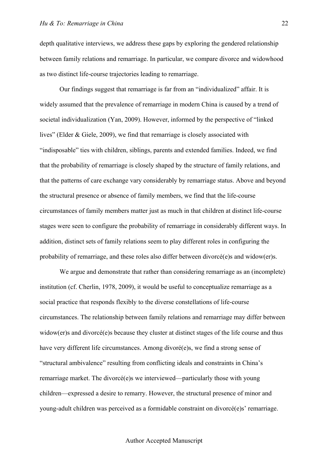depth qualitative interviews, we address these gaps by exploring the gendered relationship between family relations and remarriage. In particular, we compare divorce and widowhood as two distinct life-course trajectories leading to remarriage.

Our findings suggest that remarriage is far from an "individualized" affair. It is widely assumed that the prevalence of remarriage in modern China is caused by a trend of societal individualization (Yan, 2009). However, informed by the perspective of "linked lives" (Elder & Giele, 2009), we find that remarriage is closely associated with "indisposable" ties with children, siblings, parents and extended families. Indeed, we find that the probability of remarriage is closely shaped by the structure of family relations, and that the patterns of care exchange vary considerably by remarriage status. Above and beyond the structural presence or absence of family members, we find that the life-course circumstances of family members matter just as much in that children at distinct life-course stages were seen to configure the probability of remarriage in considerably different ways. In addition, distinct sets of family relations seem to play different roles in configuring the probability of remarriage, and these roles also differ between divorcé(e)s and widow(er)s.

We argue and demonstrate that rather than considering remarriage as an (incomplete) institution (cf. Cherlin, 1978, 2009), it would be useful to conceptualize remarriage as a social practice that responds flexibly to the diverse constellations of life-course circumstances. The relationship between family relations and remarriage may differ between widow(er)s and divorcé(e)s because they cluster at distinct stages of the life course and thus have very different life circumstances. Among divoré(e)s, we find a strong sense of "structural ambivalence" resulting from conflicting ideals and constraints in China's remarriage market. The divorcé(e)s we interviewed—particularly those with young children—expressed a desire to remarry. However, the structural presence of minor and young-adult children was perceived as a formidable constraint on divorcé(e)s' remarriage.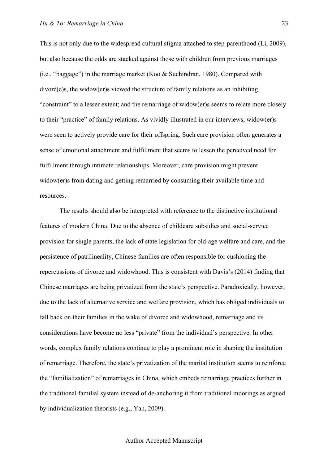This is not only due to the widespread cultural stigma attached to step-parenthood (Li, 2009), but also because the odds are stacked against those with children from previous marriages (i.e., "baggage") in the marriage market (Koo & Suchindran, 1980). Compared with divoré(e)s, the widow(er)s viewed the structure of family relations as an inhibiting "constraint" to a lesser extent; and the remarriage of widow(er)s seems to relate more closely to their "practice" of family relations. As vividly illustrated in our interviews, widow(er)s were seen to actively provide care for their offspring. Such care provision often generates a sense of emotional attachment and fulfillment that seems to lessen the perceived need for fulfillment through intimate relationships. Moreover, care provision might prevent widow(er)s from dating and getting remarried by consuming their available time and resources.

The results should also be interpreted with reference to the distinctive institutional features of modern China. Due to the absence of childcare subsidies and social-service provision for single parents, the lack of state legislation for old-age welfare and care, and the persistence of patrilineality, Chinese families are often responsible for cushioning the repercussions of divorce and widowhood. This is consistent with Davis's (2014) finding that Chinese marriages are being privatized from the state's perspective. Paradoxically, however, due to the lack of alternative service and welfare provision, which has obliged individuals to fall back on their families in the wake of divorce and widowhood, remarriage and its considerations have become no less "private" from the individual's perspective. In other words, complex family relations continue to play a prominent role in shaping the institution of remarriage. Therefore, the state's privatization of the marital institution seems to reinforce the "familialization" of remarriages in China, which embeds remarriage practices further in the traditional familial system instead of de-anchoring it from traditional moorings as argued by individualization theorists (e.g., Yan, 2009).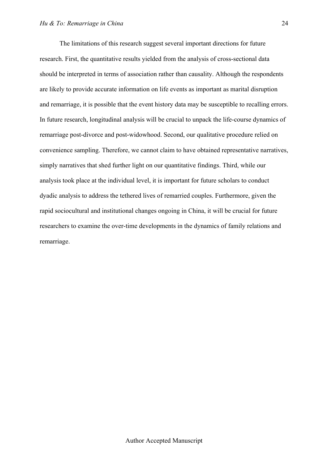The limitations of this research suggest several important directions for future research. First, the quantitative results yielded from the analysis of cross-sectional data should be interpreted in terms of association rather than causality. Although the respondents are likely to provide accurate information on life events as important as marital disruption and remarriage, it is possible that the event history data may be susceptible to recalling errors. In future research, longitudinal analysis will be crucial to unpack the life-course dynamics of remarriage post-divorce and post-widowhood. Second, our qualitative procedure relied on convenience sampling. Therefore, we cannot claim to have obtained representative narratives, simply narratives that shed further light on our quantitative findings. Third, while our analysis took place at the individual level, it is important for future scholars to conduct dyadic analysis to address the tethered lives of remarried couples. Furthermore, given the rapid sociocultural and institutional changes ongoing in China, it will be crucial for future researchers to examine the over-time developments in the dynamics of family relations and remarriage.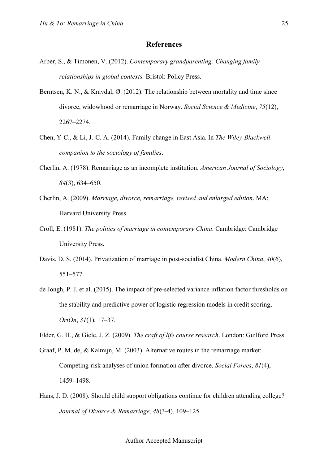## **References**

- Arber, S., & Timonen, V. (2012). *Contemporary grandparenting: Changing family relationships in global contexts.* Bristol: Policy Press.
- Berntsen, K. N., & Kravdal, Ø. (2012). The relationship between mortality and time since divorce, widowhood or remarriage in Norway. *Social Science & Medicine*, *75*(12), 2267–2274.
- Chen, Y-C., & Li, J.-C. A. (2014). Family change in East Asia. In *The Wiley-Blackwell companion to the sociology of families*.
- Cherlin, A. (1978). Remarriage as an incomplete institution. *American Journal of Sociology*, *84*(3), 634–650.
- Cherlin, A. (2009). *Marriage, divorce, remarriage, revised and enlarged edition*. MA: Harvard University Press.
- Croll, E. (1981). *The politics of marriage in contemporary China*. Cambridge: Cambridge University Press.
- Davis, D. S. (2014). Privatization of marriage in post-socialist China. *Modern China*, *40*(6), 551–577.
- de Jongh, P. J. et al. (2015). The impact of pre-selected variance inflation factor thresholds on the stability and predictive power of logistic regression models in credit scoring, *OriOn*, *31*(1), 17–37.

Elder, G. H., & Giele, J. Z. (2009). *The craft of life course research*. London: Guilford Press.

- Graaf, P. M. de, & Kalmijn, M. (2003). Alternative routes in the remarriage market: Competing-risk analyses of union formation after divorce. *Social Forces*, *81*(4), 1459–1498.
- Hans, J. D. (2008). Should child support obligations continue for children attending college? *Journal of Divorce & Remarriage*, *48*(3-4), 109–125.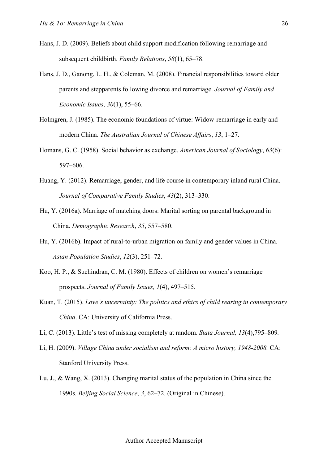- Hans, J. D. (2009). Beliefs about child support modification following remarriage and subsequent childbirth. *Family Relations*, *58*(1), 65–78.
- Hans, J. D., Ganong, L. H., & Coleman, M. (2008). Financial responsibilities toward older parents and stepparents following divorce and remarriage. *Journal of Family and Economic Issues*, *30*(1), 55–66.
- Holmgren, J. (1985). The economic foundations of virtue: Widow-remarriage in early and modern China. *The Australian Journal of Chinese Affairs*, *13*, 1–27.
- Homans, G. C. (1958). Social behavior as exchange. *American Journal of Sociology*, *63*(6): 597–606.
- Huang, Y. (2012). Remarriage, gender, and life course in contemporary inland rural China. *Journal of Comparative Family Studies*, *43*(2), 313–330.
- Hu, Y. (2016a). Marriage of matching doors: Marital sorting on parental background in China. *Demographic Research*, *35*, 557–580.
- Hu, Y. (2016b). Impact of rural-to-urban migration on family and gender values in China. *Asian Population Studies*, *12*(3), 251–72.
- Koo, H. P., & Suchindran, C. M. (1980). Effects of children on women's remarriage prospects. *Journal of Family Issues, 1*(4), 497–515.
- Kuan, T. (2015). *Love's uncertainty: The politics and ethics of child rearing in contemporary China*. CA: University of California Press.
- Li, C. (2013). Little's test of missing completely at random. *Stata Journal, 13*(4),795–809*.*
- Li, H. (2009). *Village China under socialism and reform: A micro history, 1948-2008.* CA: Stanford University Press.
- Lu, J., & Wang, X. (2013). Changing marital status of the population in China since the 1990s. *Beijing Social Science*, *3*, 62–72. (Original in Chinese).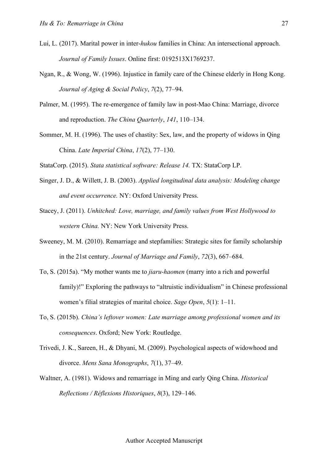- Lui, L. (2017). Marital power in inter-*hukou* families in China: An intersectional approach. *Journal of Family Issues*. Online first: 0192513X1769237.
- Ngan, R., & Wong, W. (1996). Injustice in family care of the Chinese elderly in Hong Kong. *Journal of Aging & Social Policy*, *7*(2), 77–94.
- Palmer, M. (1995). The re-emergence of family law in post-Mao China: Marriage, divorce and reproduction. *The China Quarterly*, *141*, 110–134.
- Sommer, M. H. (1996). The uses of chastity: Sex, law, and the property of widows in Qing China. *Late Imperial China*, *17*(2), 77–130.
- StataCorp. (2015). *Stata statistical software: Release 14.* TX: StataCorp LP.
- Singer, J. D., & Willett, J. B. (2003). *Applied longitudinal data analysis: Modeling change and event occurrence.* NY: Oxford University Press.
- Stacey, J. (2011). *Unhitched: Love, marriage, and family values from West Hollywood to western China.* NY: New York University Press.
- Sweeney, M. M. (2010). Remarriage and stepfamilies: Strategic sites for family scholarship in the 21st century. *Journal of Marriage and Family*, *72*(3), 667–684.
- To, S. (2015a). "My mother wants me to *jiaru-haomen* (marry into a rich and powerful family)!" Exploring the pathways to "altruistic individualism" in Chinese professional women's filial strategies of marital choice. *Sage Open*, *5*(1): 1–11.
- To, S. (2015b). *China's leftover women: Late marriage among professional women and its consequences*. Oxford; New York: Routledge.
- Trivedi, J. K., Sareen, H., & Dhyani, M. (2009). Psychological aspects of widowhood and divorce. *Mens Sana Monographs*, *7*(1), 37–49.
- Waltner, A. (1981). Widows and remarriage in Ming and early Qing China. *Historical Reflections / Réflexions Historiques*, *8*(3), 129–146.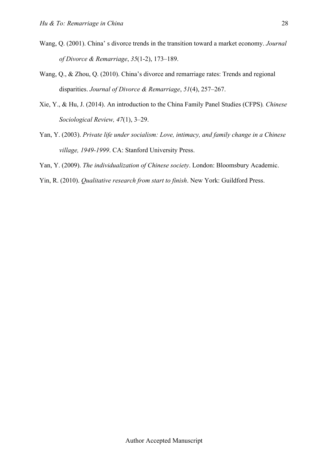- Wang, Q. (2001). China' s divorce trends in the transition toward a market economy. *Journal of Divorce & Remarriage*, *35*(1-2), 173–189.
- Wang, Q., & Zhou, Q. (2010). China's divorce and remarriage rates: Trends and regional disparities. *Journal of Divorce & Remarriage*, *51*(4), 257–267.
- Xie, Y., & Hu, J. (2014). An introduction to the China Family Panel Studies (CFPS)*. Chinese Sociological Review, 47*(1), 3–29.
- Yan, Y. (2003). *Private life under socialism: Love, intimacy, and family change in a Chinese village, 1949-1999*. CA: Stanford University Press.
- Yan, Y. (2009). *The individualization of Chinese society*. London: Bloomsbury Academic.
- Yin, R. (2010). *Qualitative research from start to finish*. New York: Guildford Press.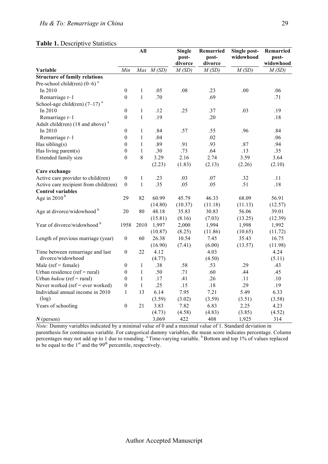#### **Table 1.** Descriptive Statistics

|                                       |                  | All          |           |                  | Remarried<br>post-<br>divorce | Single post-<br>widowhood | Remarried<br>post-<br>widowhood |
|---------------------------------------|------------------|--------------|-----------|------------------|-------------------------------|---------------------------|---------------------------------|
| Variable                              | Min              |              | Max M(SD) | divorce<br>M(SD) | M(SD)                         | M(SD)                     | M(SD)                           |
| <b>Structure of family relations</b>  |                  |              |           |                  |                               |                           |                                 |
| Pre-school child(ren) $(0-6)^a$       |                  |              |           |                  |                               |                           |                                 |
| In 2010                               | $\boldsymbol{0}$ | 1            | .05       | .08              | .23                           | .00                       | .06                             |
| Remarriage $t-1$                      | $\boldsymbol{0}$ | $\mathbf{1}$ | .70       |                  | .69                           |                           | .71                             |
| School-age child(ren) $(7-17)^a$      |                  |              |           |                  |                               |                           |                                 |
| In 2010                               | $\boldsymbol{0}$ | $\mathbf{1}$ | .12       | .25              | .37                           | .03                       | .19                             |
| Remarriage $t-1$                      | $\boldsymbol{0}$ | $\mathbf{1}$ | .19       |                  | .20                           |                           | .18                             |
| Adult child(ren) (18 and above) $a$   |                  |              |           |                  |                               |                           |                                 |
| In 2010                               | $\boldsymbol{0}$ | $\mathbf{1}$ | .84       | .57              | .55                           | .96                       | .84                             |
| Remarriage $t-1$                      | $\boldsymbol{0}$ | $\mathbf{1}$ | .04       |                  | .02                           |                           | .06                             |
| Has sibling( $s$ )                    | $\boldsymbol{0}$ | $\mathbf{1}$ | .89       | .91              | .93                           | .87                       | .94                             |
| Has living parent(s)                  | $\boldsymbol{0}$ | $\mathbf{1}$ | .30       | .73              | .64                           | .13                       | .35                             |
| Extended family size                  | $\boldsymbol{0}$ | 8            | 3.29      | 2.16             | 2.74                          | 3.59                      | 3.64                            |
|                                       |                  |              | (2.23)    | (1.83)           | (2.13)                        | (2.26)                    | (2.10)                          |
| Care exchange                         |                  |              |           |                  |                               |                           |                                 |
| Active care provider to child(ren)    | $\boldsymbol{0}$ | 1            | .23       | .03              | .07                           | .32                       | .11                             |
| Active care recipient from child(ren) | $\theta$         | $\mathbf{1}$ | .35       | .05              | .05                           | .51                       | .18                             |
| <b>Control variables</b>              |                  |              |           |                  |                               |                           |                                 |
| Age in 2010 $b$                       | 29               | 82           | 60.99     | 45.79            | 46.33                         | 68.09                     | 56.91                           |
|                                       |                  |              | (14.80)   | (10.37)          | (11.18)                       | (11.13)                   | (12.57)                         |
| Age at divorce/widowhood b            | 20               | 80           | 48.18     | 35.83            | 30.83                         | 56.06                     | 39.01                           |
|                                       |                  |              | (15.81)   | (8.16)           | (7.03)                        | (13.25)                   | (12.39)                         |
| Year of divorce/widowhood b           | 1958             | 2010         | 1,997     | 2,000            | 1,994                         | 1,998                     | 1,992                           |
|                                       |                  |              | (10.87)   | (8.25)           | (11.86)                       | (10.65)                   | (11.72)                         |
| Length of previous marriage (year)    | $\boldsymbol{0}$ | 60           | 26.38     | 10.54            | 7.45                          | 35.43                     | 16.75                           |
|                                       |                  |              | (16.90)   | (7.41)           | (6.00)                        | (13.57)                   | (11.98)                         |
| Time between remarriage and last      | $\boldsymbol{0}$ | 22           | 4.12      |                  | 4.03                          |                           | 4.24                            |
| divorce/widowhood                     |                  |              | (4.77)    |                  | (4.50)                        |                           | (5.11)                          |
| Male ( $ref = female$ )               | $\boldsymbol{0}$ | $\mathbf{1}$ | .38       | .58              | .53                           | .29                       | .43                             |
| Urban residence ( $ref = rural$ )     | $\boldsymbol{0}$ | $\mathbf{1}$ | .50       | .71              | .60                           | .44                       | .45                             |
| Urban $hukou$ (ref = rural)           | $\boldsymbol{0}$ | $\mathbf{1}$ | .17       | .41              | .26                           | .11                       | .10                             |
| Never worked (ref = ever worked)      | $\boldsymbol{0}$ | $\mathbf{1}$ | .25       | .15              | .18                           | .29                       | .19                             |
| Individual annual income in 2010      | 1                | 13           | 6.14      | 7.95             | 7.21                          | 5.49                      | 6.33                            |
| (log)                                 |                  |              | (3.59)    | (3.02)           | (3.59)                        | (3.51)                    | (3.58)                          |
| Years of schooling                    | $\boldsymbol{0}$ | 21           | 3.83      | 7.82             | 6.83                          | 2.25                      | 4.23                            |
|                                       |                  |              | (4.73)    | (4.58)           | (4.83)                        | (3.85)                    | (4.52)                          |
| $N$ (person)                          |                  |              | 3,069     | 422              | 408                           | 1,925                     | 314                             |

*Note:* Dummy variables indicated by a minimal value of 0 and a maximal value of 1. Standard deviation in parenthesis for continuous variable. For categorical dummy variables, the mean score indicates percentage. Column percentages may not add up to 1 due to rounding. <sup>a</sup> Time-varying variable. <sup>b</sup> Bottom and top 1% of values replaced to be equal to the 1<sup>st</sup> and the 99<sup>th</sup> percentile, respectively.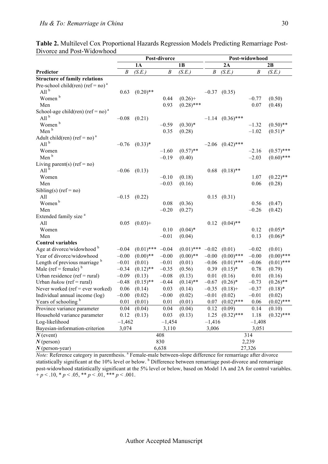|                                               |                  | Post-divorce |                  |              |                  | Post-widowhood       |                  |              |  |  |
|-----------------------------------------------|------------------|--------------|------------------|--------------|------------------|----------------------|------------------|--------------|--|--|
|                                               |                  | <b>1A</b>    |                  | 1B           |                  | 2A                   | 2B               |              |  |  |
| Predictor                                     | $\boldsymbol{B}$ | (S.E.)       | $\boldsymbol{B}$ | (S.E.)       | $\boldsymbol{B}$ | (S.E.)               | $\boldsymbol{B}$ | (S.E.)       |  |  |
| <b>Structure of family relations</b>          |                  |              |                  |              |                  |                      |                  |              |  |  |
| Pre-school child(ren) (ref = no) <sup>a</sup> |                  |              |                  |              |                  |                      |                  |              |  |  |
| All $^{\rm b}$                                | 0.63             | $(0.20)$ **  |                  |              |                  | $-0.37$ $(0.35)$     |                  |              |  |  |
| Women <sup>b</sup>                            |                  |              | 0.44             | $(0.26) +$   |                  |                      | $-0.77$          | (0.50)       |  |  |
| Men                                           |                  |              | 0.93             | $(0.28)$ *** |                  |                      | 0.07             | (0.48)       |  |  |
| School-age child(ren) (ref = no) <sup>a</sup> |                  |              |                  |              |                  |                      |                  |              |  |  |
| All $^{\rm b}$                                | $-0.08$          | (0.21)       |                  |              |                  | $-1.14$ $(0.36)$ *** |                  |              |  |  |
| Women <sup>b</sup>                            |                  |              | $-0.59$          | $(0.30)*$    |                  |                      | $-1.32$          | $(0.50)$ **  |  |  |
| Men <sup>b</sup>                              |                  |              | 0.35             | (0.28)       |                  |                      | $-1.02$          | $(0.51)$ *   |  |  |
| Adult child(ren) (ref = no) <sup>a</sup>      |                  |              |                  |              |                  |                      |                  |              |  |  |
| All <sup>b</sup>                              | $-0.76$          | $(0.33)*$    |                  |              | $-2.06$          | $(0.42)$ ***         |                  |              |  |  |
| Women                                         |                  |              | $-1.60$          | $(0.57)$ **  |                  |                      | $-2.16$          | $(0.57)$ *** |  |  |
| Men <sup>b</sup>                              |                  |              | $-0.19$          | (0.40)       |                  |                      | $-2.03$          | $(0.60)$ *** |  |  |
| Living parent(s) $(ref = no)$                 |                  |              |                  |              |                  |                      |                  |              |  |  |
| All $^{b}$                                    | $-0.06$          | (0.13)       |                  |              | 0.68             | $(0.18)$ **          |                  |              |  |  |
| Women                                         |                  |              | $-0.10$          | (0.18)       |                  |                      | 1.07             | $(0.22)$ **  |  |  |
| Men                                           |                  |              | $-0.03$          | (0.16)       |                  |                      | 0.06             | (0.28)       |  |  |
| Sibling(s) $(ref = no)$                       |                  |              |                  |              |                  |                      |                  |              |  |  |
| All                                           | $-0.15$          | (0.22)       |                  |              | 0.15             | (0.31)               |                  |              |  |  |
| Women <sup>b</sup>                            |                  |              | 0.08             | (0.36)       |                  |                      | 0.56             | (0.47)       |  |  |
| Men                                           |                  |              | $-0.20$          | (0.27)       |                  |                      | $-0.26$          | (0.42)       |  |  |
| Extended family size <sup>a</sup>             |                  |              |                  |              |                  |                      |                  |              |  |  |
| All                                           | 0.05             | $(0.03) +$   |                  |              | 0.12             | $(0.04)$ **          |                  |              |  |  |
| Women                                         |                  |              | 0.10             | $(0.04)$ *   |                  |                      | 0.12             | $(0.05)*$    |  |  |
| Men                                           |                  |              | $-0.01$          | (0.04)       |                  |                      | 0.13             | $(0.06)*$    |  |  |
| <b>Control variables</b>                      |                  |              |                  |              |                  |                      |                  |              |  |  |
| Age at divorce/widowhood b                    | $-0.04$          | $(0.01)$ *** | $-0.04$          | $(0.01)$ *** | $-0.02$          | (0.01)               | $-0.02$          | (0.01)       |  |  |
| Year of divorce/widowhood                     | $-0.00$          | $(0.00)$ **  | $-0.00$          | $(0.00)**$   | $-0.00$          | $(0.00)$ ***         | $-0.00$          | $(0.00)$ *** |  |  |
| Length of previous marriage <sup>b</sup>      | $-0.01$          | (0.01)       | $-0.01$          | (0.01)       | $-0.06$          | $(0.01)$ ***         | $-0.06$          | $(0.01)$ *** |  |  |
| Male (ref = female) $b$                       | $-0.34$          | $(0.12)$ **  | $-0.35$          | (0.56)       | 0.39             | $(0.15)^*$           | 0.78             | (0.79)       |  |  |
| Urban residence ( $ref = rural$ )             | $-0.09$          | (0.13)       | $-0.08$          | (0.13)       | 0.01             | (0.16)               | 0.01             | (0.16)       |  |  |
| Urban $hukou$ (ref = rural)                   | $-0.48$          | $(0.15)$ **  | $-0.44$          | $(0.14)$ **  | $-0.67$          | $(0.26)^*$           | $-0.73$          | $(0.26)$ **  |  |  |
| Never worked ( $ref = ever$ worked)           | 0.06             | (0.14)       | 0.03             | (0.14)       | $-0.35$          | $(0.18) +$           | $-0.37$          | $(0.18)$ *   |  |  |
| Individual annual income (log)                | $-0.00$          | (0.02)       | $-0.00$          | (0.02)       | $-0.01$          | (0.02)               | $-0.01$          | (0.02)       |  |  |
| Years of schooling b                          | 0.01             | (0.01)       | 0.01             | (0.01)       | 0.07             | $(0.02)$ ***         | 0.06             | $(0.02)$ *** |  |  |
| Province variance parameter                   | 0.04             | (0.04)       | 0.04             | (0.04)       | 0.12             | (0.09)               | 0.14             | (0.10)       |  |  |
| Household variance parameter                  | 0.12             | (0.13)       | 0.03             | (0.13)       | 1.25             | $(0.32)$ ***         | 1.18             | $(0.32)$ *** |  |  |
| Log-likelihood                                | $-1,462$         |              | $-1,454$         |              | $-1,416$         |                      | $-1,408$         |              |  |  |
| Bayesian-information-criterion                | 3,074            |              | 3,110            |              | 3,006            |                      | 3,051            |              |  |  |
| $N$ (event)                                   |                  |              | 408              |              |                  |                      | 314              |              |  |  |
| $N$ (person)                                  |                  |              | 830              |              |                  |                      | 2,239            |              |  |  |
| $N$ (person-year)                             |                  |              | 6,638            |              | 27,326           |                      |                  |              |  |  |

**Table 2.** Multilevel Cox Proportional Hazards Regression Models Predicting Remarriage Post-Divorce and Post-Widowhood

*Note:* Reference category in parenthesis. <sup>a</sup> Female-male between-slope difference for remarriage after divorce statistically significant at the 10% level or below. <sup>b</sup> Difference between remarriage post-divorce and remarriage statistically significant at the 10% level or below. post-widowhood statistically significant at the 5% level or below, based on Model 1A and 2A for control variables.  $+p < 0.10, \, p < 0.05, \, p < 0.01, \, p < 0.01.$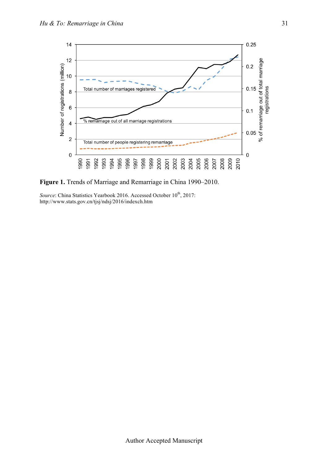

**Figure 1.** Trends of Marriage and Remarriage in China 1990–2010.

*Source*: China Statistics Yearbook 2016. Accessed October 10<sup>th</sup>, 2017: http://www.stats.gov.cn/tjsj/ndsj/2016/indexch.htm